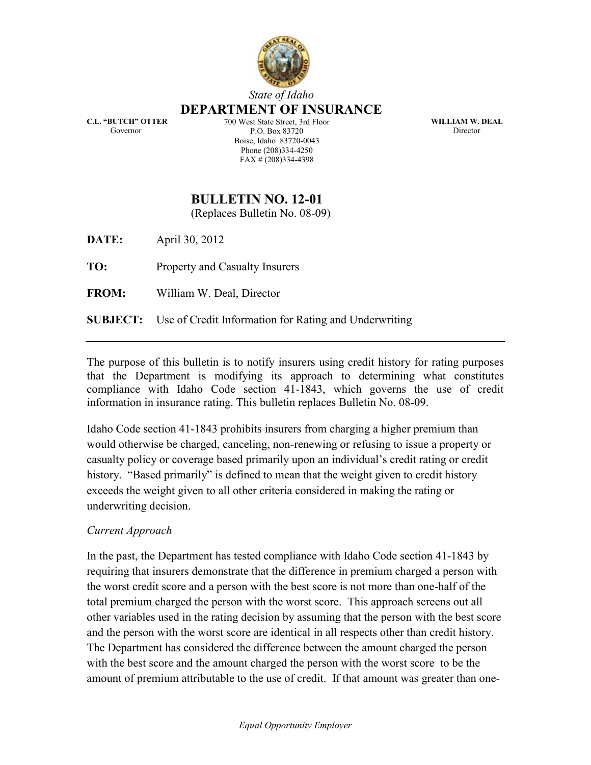

# State of Idaho

#### DEPARTMENT OF INSURANCE

C.L. "BUTCH" OTTER Governor

700 West State Street, 3rd Floor P.O. Box 83720 Boise, Idaho 83720-0043 Phone (208)334-4250 FAX # (208)334-4398

WILLIAM W. DEAL Director

# BULLETIN NO. 12-01

(Replaces Bulletin No. 08-09)

**DATE:** April 30, 2012

TO: Property and Casualty Insurers

FROM: William W. Deal, Director

SUBJECT: Use of Credit Information for Rating and Underwriting

The purpose of this bulletin is to notify insurers using credit history for rating purposes that the Department is modifying its approach to determining what constitutes compliance with Idaho Code section 41-1843, which governs the use of credit information in insurance rating. This bulletin replaces Bulletin No. 08-09.

Idaho Code section 41-1843 prohibits insurers from charging a higher premium than would otherwise be charged, canceling, non-renewing or refusing to issue a property or casualty policy or coverage based primarily upon an individual's credit rating or credit history. "Based primarily" is defined to mean that the weight given to credit history exceeds the weight given to all other criteria considered in making the rating or underwriting decision.

#### Current Approach

In the past, the Department has tested compliance with Idaho Code section 41-1843 by requiring that insurers demonstrate that the difference in premium charged a person with the worst credit score and a person with the best score is not more than one-half of the total premium charged the person with the worst score. This approach screens out all other variables used in the rating decision by assuming that the person with the best score and the person with the worst score are identical in all respects other than credit history. The Department has considered the difference between the amount charged the person with the best score and the amount charged the person with the worst score to be the amount of premium attributable to the use of credit. If that amount was greater than one-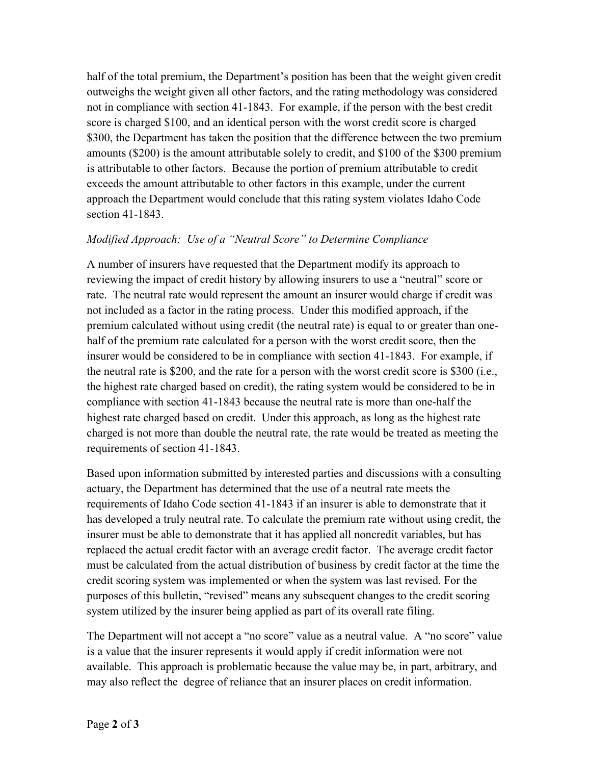half of the total premium, the Department's position has been that the weight given credit outweighs the weight given all other factors, and the rating methodology was considered not in compliance with section 41-1843. For example, if the person with the best credit score is charged \$100, and an identical person with the worst credit score is charged \$300, the Department has taken the position that the difference between the two premium amounts (\$200) is the amount attributable solely to credit, and \$100 of the \$300 premium is attributable to other factors. Because the portion of premium attributable to credit exceeds the amount attributable to other factors in this example, under the current approach the Department would conclude that this rating system violates Idaho Code section 41-1843.

## Modified Approach: Use of a "Neutral Score" to Determine Compliance

A number of insurers have requested that the Department modify its approach to reviewing the impact of credit history by allowing insurers to use a "neutral" score or rate. The neutral rate would represent the amount an insurer would charge if credit was not included as a factor in the rating process. Under this modified approach, if the premium calculated without using credit (the neutral rate) is equal to or greater than onehalf of the premium rate calculated for a person with the worst credit score, then the insurer would be considered to be in compliance with section 41-1843. For example, if the neutral rate is \$200, and the rate for a person with the worst credit score is \$300 (i.e., the highest rate charged based on credit), the rating system would be considered to be in compliance with section 41-1843 because the neutral rate is more than one-half the highest rate charged based on credit. Under this approach, as long as the highest rate charged is not more than double the neutral rate, the rate would be treated as meeting the requirements of section 41-1843.

Based upon information submitted by interested parties and discussions with a consulting actuary, the Department has determined that the use of a neutral rate meets the requirements of Idaho Code section 41-1843 if an insurer is able to demonstrate that it has developed a truly neutral rate. To calculate the premium rate without using credit, the insurer must be able to demonstrate that it has applied all noncredit variables, but has replaced the actual credit factor with an average credit factor. The average credit factor must be calculated from the actual distribution of business by credit factor at the time the credit scoring system was implemented or when the system was last revised. For the purposes of this bulletin, "revised" means any subsequent changes to the credit scoring system utilized by the insurer being applied as part of its overall rate filing.

The Department will not accept a "no score" value as a neutral value. A "no score" value is a value that the insurer represents it would apply if credit information were not available. This approach is problematic because the value may be, in part, arbitrary, and may also reflect the degree of reliance that an insurer places on credit information.